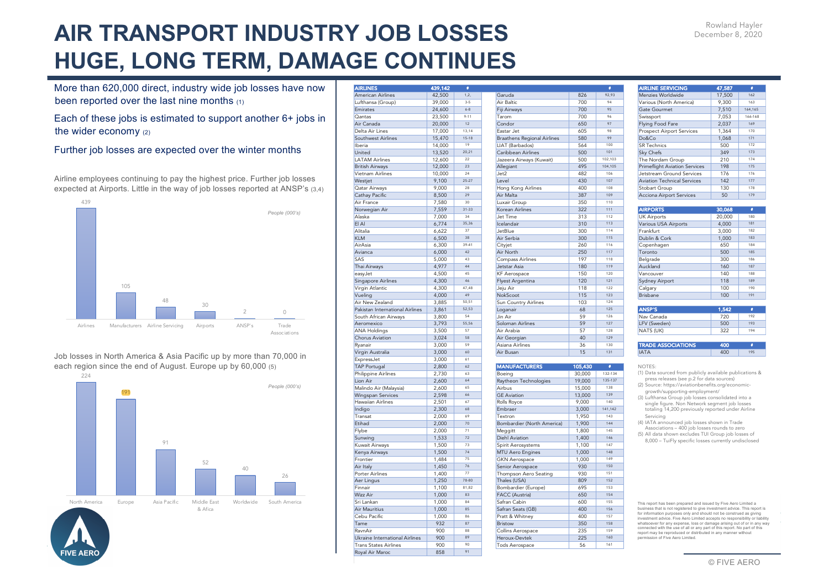## **AIR TRANSPORT INDUSTRY JOB LOSSES HUGE, LONG TERM, DAMAGE CONTINUES**

More than 620,000 direct, industry wide job losses have now been reported over the last nine months (1)

### Each of these jobs is estimated to support another 6+ jobs in the wider economy (2)

### Further job losses are expected over the winter months

Airline employees continuing to pay the highest price. Further job losses expected at Airports. Little in the way of job losses reported at ANSP's (3,4)



Job losses in North America & Asia Pacific up by more than 70,000 in each region since the end of August. Europe up by 60,000 (5)



| <b>AIRLINES</b>                 | 439,142 | ٠               |                                    |         | ٠       | <b>AIRLINE SERVICING</b>                                                                                                                                                                                       | 47,587 | ٠         |
|---------------------------------|---------|-----------------|------------------------------------|---------|---------|----------------------------------------------------------------------------------------------------------------------------------------------------------------------------------------------------------------|--------|-----------|
| American Airlines               | 42,500  | 1, 2,           | Garuda                             | 826     | 92,93   | Menzies Worldwide                                                                                                                                                                                              | 17,500 | 162       |
| Lufthansa (Group)               | 39,000  | $3 - 5$         | Air Baltic                         | 700     | 94      | Various (North America)                                                                                                                                                                                        | 9,300  | 163       |
| Emirates                        | 24,600  | $6 - 8$         | Fiji Airways                       | 700     | 95      | Gate Gourmet                                                                                                                                                                                                   | 7,510  | 164,165   |
| Qantas                          | 23,500  | $9 - 11$        | Tarom                              | 700     | 96      | Swissport                                                                                                                                                                                                      | 7,053  | 166-168   |
| Air Canada                      | 20,000  | 12              | Condor                             | 650     | 97      | Flying Food Fare                                                                                                                                                                                               | 2,037  | 169       |
| Delta Air Lines                 | 17,000  | 13,14           | Eastar Jet                         | 605     | 98      | <b>Prospect Airport Services</b>                                                                                                                                                                               | 1,364  | 170       |
| Southwest Airlines              | 15,470  | $15 - 18$       | <b>Braathens Regional Airlines</b> | 580     | 99      | Do&Co                                                                                                                                                                                                          | 1,068  | 171       |
| Iberia                          | 14,000  | 19              | LIAT (Barbados)                    | 564     | 100     | <b>SR Technics</b>                                                                                                                                                                                             | 500    | 172       |
| United                          | 13,520  | 20,21           | Caribbean Airlines                 | 500     | 101     | Sky Chefs                                                                                                                                                                                                      | 349    | 173       |
| <b>LATAM Airlines</b>           | 12,600  | 22              | Jazeera Airways (Kuwait)           | 500     | 102,103 | The Nordam Group                                                                                                                                                                                               | 210    | 174       |
| <b>British Airways</b>          | 12,000  | 23              | Allegiant                          | 495     | 104,105 | <b>Primeflight Aviation Services</b>                                                                                                                                                                           | 198    | 175       |
| Vietnam Airlines                | 10,000  | $\overline{24}$ | Jet2                               | 482     | 106     | Jetstream Ground Services                                                                                                                                                                                      | 176    | 176       |
| Westjet                         | 9,100   | $25 - 27$       | Level                              | 430     | 107     | <b>Aviation Technical Services</b>                                                                                                                                                                             | 142    | 177       |
| Qatar Airways                   | 9,000   | 28              | Hong Kong Airlines                 | 400     | 108     | Stobart Group                                                                                                                                                                                                  | 130    | 178       |
| Cathay Pacific                  | 8,500   | 29              | Air Malta                          | 387     | 109     | Acciona Airport Services                                                                                                                                                                                       | 50     | 179       |
| Air France                      | 7,580   | 30              | Luxair Group                       | 350     | 110     |                                                                                                                                                                                                                |        |           |
| Norwegian Air                   | 7,559   | $31 - 33$       | Korean Airlines                    | 322     | 111     | <b>AIRPORTS</b>                                                                                                                                                                                                | 30,068 | ٠         |
| Alaska                          | 7,000   | 34              | Jet Time                           | 313     | 112     | <b>UK Airports</b>                                                                                                                                                                                             | 20,000 | 180       |
| EI AI                           | 6,774   | 35,36           | Icelandair                         | 310     | 113     | Various USA Airports                                                                                                                                                                                           | 4,000  | 181       |
| Alitalia                        | 6,622   | 37              | JetBlue                            | 300     | 114     | Frankfurt                                                                                                                                                                                                      | 3,000  | 182       |
| <b>KLM</b>                      | 6,500   | 38              | Air Serbia                         | 300     | 115     | Dublin & Cork                                                                                                                                                                                                  | 1,000  | 183       |
| AirAsia                         | 6,300   | $39 - 41$       | Cityjet                            | 260     | 116     | Copenhagen                                                                                                                                                                                                     | 650    | 184       |
| Avianca                         | 6,000   | 42              | Air North                          | 250     | 117     | Toronto                                                                                                                                                                                                        | 500    | 185       |
| SAS                             | 5,000   | 43              | Compass Airlines                   | 197     | 118     | Belgrade                                                                                                                                                                                                       | 300    | 186       |
| Thai Airways                    | 4,977   | 44              | Jetstar Asia                       | 180     | 119     | Auckland                                                                                                                                                                                                       | 160    | 187       |
| easyJet                         | 4,500   | 45              | <b>KF</b> Aerospace                | 150     | 120     | Vancouver                                                                                                                                                                                                      | 140    | 188       |
| Singapore Airlines              | 4,300   | 46              | <b>Flyest Argentina</b>            | 120     | 121     | <b>Sydney Airport</b>                                                                                                                                                                                          | 118    | 189       |
| Virgin Atlantic                 | 4,300   | 47,48           | Jeju Air                           | 118     | 122     | Calgary                                                                                                                                                                                                        | 100    | 190       |
| Vueling                         | 4,000   | 49              | NokScoot                           | 115     | 123     | Brisbane                                                                                                                                                                                                       | 100    | 191       |
| Air New Zealand                 | 3,885   | 50.51           | Sun Country Airlines               | 103     | 124     |                                                                                                                                                                                                                |        |           |
| Pakistan International Airlines | 3,861   | 52.53           | Loganair                           | 68      | 125     | <b>ANSP'S</b>                                                                                                                                                                                                  | 1,542  | $\bullet$ |
| South African Airways           | 3,800   | 54              | Jin Air                            | 59      | 126     | Nav Canada                                                                                                                                                                                                     | 720    | 192       |
| Aeromexico                      | 3,793   | 55,56           | Soloman Airlines                   | 59      | 127     | LFV (Sweden)                                                                                                                                                                                                   | 500    | 193       |
| <b>ANA Holdings</b>             | 3,500   | 57              | Air Arabia                         | 57      | 128     | NATS (UK)                                                                                                                                                                                                      | 322    | 194       |
| Chorus Aviation                 | 3,024   | 58              | Air Georgian                       | 40      | 129     |                                                                                                                                                                                                                |        |           |
| Ryanair                         | 3,000   | 59              | Asiana Airlines                    | 36      | 130     | <b>TRADE ASSOCIATIONS</b>                                                                                                                                                                                      | 400    | ٠         |
| Virgin Australia                | 3,000   | 60              | Air Busan                          | 15      | 131     | <b>IATA</b>                                                                                                                                                                                                    | 400    | 195       |
| ExpressJet                      | 3,000   | 61              |                                    |         |         |                                                                                                                                                                                                                |        |           |
| <b>TAP Portugal</b>             | 2,800   | 62              | <b>MANUFACTURERS</b>               | 105,430 | ø       | NOTES:                                                                                                                                                                                                         |        |           |
| <b>Philippine Airlines</b>      | 2,730   | 63              | Boeing                             | 30,000  | 132-134 | (1) Data sourced from publicly available publications &                                                                                                                                                        |        |           |
| Lion Air                        | 2,600   | 64              | Raytheon Technologies              | 19,000  | 135-137 | press releases (see p.2 for data sources)<br>(2) Source: https://aviationbenefits.org/economic-                                                                                                                |        |           |
| Malindo Air (Malaysia)          | 2,600   | 65              | Airbus                             | 15,000  | 138     |                                                                                                                                                                                                                |        |           |
| Wingspan Services               | 2,598   | 66              | <b>GE</b> Aviation                 | 13,000  | 139     | growth/supporting-employment/<br>(3) Lufthansa Group job losses consolidated into a                                                                                                                            |        |           |
| Hawaiian Airlines               | 2,501   | 67              | Rolls Royce                        | 9,000   | 140     | single figure. Non Network segment job losses                                                                                                                                                                  |        |           |
| Indigo                          | 2,300   | 68              | Embraer                            | 3,000   | 141,142 | totaling 14,200 previously reported under Airline                                                                                                                                                              |        |           |
| Transat                         | 2,000   | 69              | Textron                            | 1,950   | 143     | Servicing                                                                                                                                                                                                      |        |           |
| Etihad                          | 2,000   | 70              | Bombardier (North America)         | 1,900   | 144     | (4) IATA announced job losses shown in Trade                                                                                                                                                                   |        |           |
| Flybe                           | 2,000   | 71              | Meggitt                            | 1,800   | 145     | Associations - 400 job losses rounds to zero<br>(5) All data shown excludes TUI Group job losses of                                                                                                            |        |           |
| Sunwing                         | 1,533   | 72              | Diehl Aviation                     | 1,400   | 146     | 8,000 - TuiFly specific losses currently undisclosed                                                                                                                                                           |        |           |
| Kuwait Airways                  | 1,500   | 73              | Spirit Aerosystems                 | 1,100   | 147     |                                                                                                                                                                                                                |        |           |
| Kenya Airways                   | 1,500   | 74              | <b>MTU Aero Engines</b>            | 1,000   | 148     |                                                                                                                                                                                                                |        |           |
| Frontier                        | 1,484   | 75              | <b>GKN</b> Aerospace               | 1,000   | 149     |                                                                                                                                                                                                                |        |           |
| Air Italy                       | 1,450   | 76              | Senior Aerospace                   | 930     | 150     |                                                                                                                                                                                                                |        |           |
| Porter Airlines                 | 1,400   | 77              | Thompson Aero Seating              | 930     | 151     |                                                                                                                                                                                                                |        |           |
| Aer Lingus                      | 1,250   | 78-80           | Thales (USA)                       | 809     | 152     |                                                                                                                                                                                                                |        |           |
| Finnair                         | 1,100   | 81.82           | Bombardier (Europe)                | 695     | 153     |                                                                                                                                                                                                                |        |           |
| <b>Wizz Air</b>                 | 1,000   | 83              | FACC (Austria)                     | 650     | 154     |                                                                                                                                                                                                                |        |           |
| Sri Lankan                      | 1,000   | 84              | Safran Cabin                       | 600     | 155     | This report has been prepared and issued by Five Aero Limited a                                                                                                                                                |        |           |
| Air Mauritius                   | 1,000   | 85              | Safran Seats (GB)                  | 400     | 156     | business that is not registered to give investment advice. This repo                                                                                                                                           |        |           |
| Cebu Pacific                    | 1,000   | 86              | Pratt & Whitney                    | 400     | 157     | for information purposes only and should not be construed as givin<br>investment advice. Five Aero Limited accepts no responsibility or lia                                                                    |        |           |
| Tame                            | 932     | 87              | <b>Bristow</b>                     | 350     | 158     | whatsoever for any expense, loss or damage arising out of or in an<br>connected with the use of all or any part of this report. No part of th<br>report may be reproduced or distributed in any manner without |        |           |
| RavnAir                         | 900     | 88              | Collins Aerospace                  | 235     | 159     |                                                                                                                                                                                                                |        |           |
| Ukraine International Airlines  | 900     | 89              | Heroux-Devtek                      | 225     | 160     | permission of Five Aero Limited.                                                                                                                                                                               |        |           |
| <b>Trans States Airlines</b>    | 900     | 90              | <b>Tods Aerospace</b>              | 56      | 161     |                                                                                                                                                                                                                |        |           |
| Royal Air Maroc                 | 858     | 91              |                                    |         |         |                                                                                                                                                                                                                |        |           |

|                                    |     | ٠       |
|------------------------------------|-----|---------|
| Garuda                             | 826 | 92,93   |
| Air Baltic                         | 700 | 94      |
| Fiji Airways                       | 700 | 95      |
| Tarom                              | 700 | 96      |
| Condor                             | 650 | 97      |
| Eastar Jet                         | 605 | 98      |
| <b>Braathens Regional Airlines</b> | 580 | 99      |
| LIAT (Barbados)                    | 564 | 100     |
| Caribbean Airlines                 | 500 | 101     |
| Jazeera Airways (Kuwait)           | 500 | 102.103 |
| Allegiant                          | 495 | 104,105 |
| let2                               | 482 | 106     |
| Level                              | 430 | 107     |
| Hong Kong Airlines                 | 400 | 108     |
| Air Malta                          | 387 | 109     |
| Luxair Group                       | 350 | 110     |
| Korean Airlines                    | 322 | 111     |
| Jet Time                           | 313 | 112     |
| Icelandair                         | 310 | 113     |
| JetBlue                            | 300 | 114     |
| Air Serbia                         | 300 | 115     |
| Cityjet                            | 260 | 116     |
| Air North                          | 250 | 117     |
| Compass Airlines                   | 197 | 118     |
| Jetstar Asia                       | 180 | 119     |
| <b>KF Aerospace</b>                | 150 | 120     |
| <b>Flyest Argentina</b>            | 120 | 121     |
| Jeju Air                           | 118 | 122     |
| NokScoot                           | 115 | 123     |
| Sun Country Airlines               | 103 | 124     |
| Loganair                           | 68  | 125     |
| Jin Air                            | 59  | 126     |
| Soloman Airlines                   | 59  | 127     |
| Air Arabia                         | 57  | 128     |
| Air Georgian                       | 40  | 129     |
| Asiana Airlines                    | 36  | 130     |
| Air Busan                          | 15  | 131     |
|                                    |     |         |

| <b>MANUFACTURERS</b>       | 105,430 | c       |
|----------------------------|---------|---------|
| Boeing                     | 30,000  | 132-134 |
| Raytheon Technologies      | 19,000  | 135-137 |
| Airbus                     | 15,000  | 138     |
| <b>GE Aviation</b>         | 13,000  | 139     |
| Rolls Royce                | 9,000   | 140     |
| Embraer                    | 3,000   | 141,142 |
| Textron                    | 1,950   | 143     |
| Bombardier (North America) | 1,900   | 144     |
| Meggitt                    | 1,800   | 145     |
| Diehl Aviation             | 1,400   | 146     |
| Spirit Aerosystems         | 1.100   | 147     |
| <b>MTU Aero Engines</b>    | 1,000   | 148     |
| <b>GKN</b> Aerospace       | 1,000   | 149     |
| Senior Aerospace           | 930     | 150     |
| Thompson Aero Seating      | 930     | 151     |
| Thales (USA)               | 809     | 152     |
| Bombardier (Europe)        | 695     | 153     |
| <b>FACC</b> (Austria)      | 650     | 154     |
| Safran Cabin               | 600     | 155     |
| Safran Seats (GB)          | 400     | 156     |
| Pratt & Whitney            | 400     | 157     |
| <b>Bristow</b>             | 350     | 158     |
| Collins Aerospace          | 235     | 159     |
| Heroux-Devtek              | 225     | 160     |
| Tods Aerospace             | 56      | 161     |

| <b>AIRLINE SERVICING</b>             | 47,587 | ٠       |
|--------------------------------------|--------|---------|
| Menzies Worldwide                    | 17,500 | 162     |
| Various (North America)              | 9.300  | 163     |
| Gate Gourmet                         | 7,510  | 164,165 |
| Swissport                            | 7,053  | 166-168 |
| Flying Food Fare                     | 2,037  | 169     |
| <b>Prospect Airport Services</b>     | 1.364  | 170     |
| Do&Co                                | 1,068  | 171     |
| <b>SR Technics</b>                   | 500    | 172     |
| Sky Chefs                            | 349    | 173     |
| The Nordam Group                     | 210    | 174     |
| <b>Primeflight Aviation Services</b> | 198    | 175     |
| Jetstream Ground Services            | 176    | 176     |
| <b>Aviation Technical Services</b>   | 142    | 177     |
| Stobart Group                        | 130    | 178     |
| <b>Acciona Airport Services</b>      | 50     | 179     |

| <b>AIRPORTS</b>       | 30,068 | ö   |
|-----------------------|--------|-----|
| <b>UK Airports</b>    | 20,000 | 180 |
| Various USA Airports  | 4,000  | 181 |
| Frankfurt             | 3,000  | 182 |
| Dublin & Cork         | 1,000  | 183 |
| Copenhagen            | 650    | 184 |
| Toronto               | 500    | 185 |
| Belgrade              | 300    | 186 |
| Auckland              | 160    | 187 |
| Vancouver             | 140    | 188 |
| <b>Sydney Airport</b> | 118    | 189 |
| Calgary               | 100    | 190 |
| <b>Brishane</b>       | 100    | 191 |

| 1.542 |     |
|-------|-----|
| 720   | 192 |
| 500   | 193 |
| 322   | 194 |
|       |     |

## TRADE ASSOCIATIONS 400 #<br>14TA 59 ASIANA AIRLINES 400 # 195

#### NOTES:

- (1) Data sourced from publicly available publications & press releases (see p.2 for data sources)
- (2) Source: https://aviationbenefits.org/economicgrowth/supporting-employment/ (3) Lufthansa Group job losses consolidated into a
- single figure. Non Network segment job losses totaling 14,200 previously reported under Airline Servicing
- (4) IATA announced job losses shown in Trade
- Associations 400 job losses rounds to zero (5) All data shown excludes TUI Group job losses of 8,000 – TuiFly specific losses currently undisclosed

This report has been prepared and issued by Five Aero Limited a business that is not registered to give investment advice. This report is for information purposes only and should not be construed as giving investment advice. Five Aero Limited accepts no responsibility or liability whatsoever for any expense, loss or damage arising out of or in any way connected with the use of all or any part of this report. No part of this report may be reproduced or distributed in any manner without permission of Five Aero Limited.